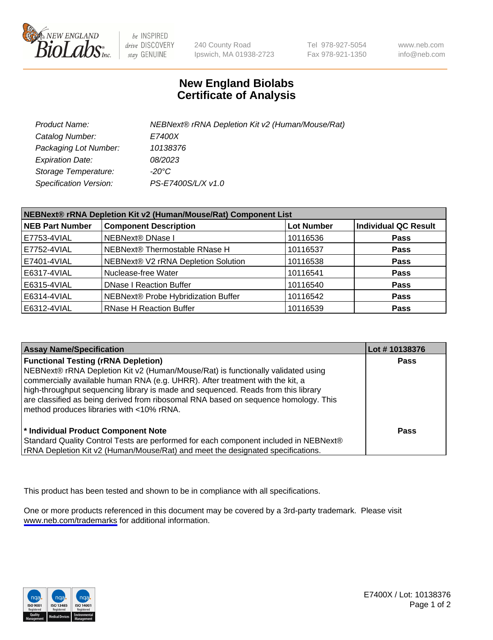

be INSPIRED drive DISCOVERY stay GENUINE

240 County Road Ipswich, MA 01938-2723 Tel 978-927-5054 Fax 978-921-1350

www.neb.com info@neb.com

## **New England Biolabs Certificate of Analysis**

| Product Name:           | NEBNext® rRNA Depletion Kit v2 (Human/Mouse/Rat) |
|-------------------------|--------------------------------------------------|
| Catalog Number:         | <i>E7400X</i>                                    |
| Packaging Lot Number:   | 10138376                                         |
| <b>Expiration Date:</b> | 08/2023                                          |
| Storage Temperature:    | -20°C                                            |
| Specification Version:  | PS-E7400S/L/X v1.0                               |

| NEBNext® rRNA Depletion Kit v2 (Human/Mouse/Rat) Component List |                                     |                   |                             |  |
|-----------------------------------------------------------------|-------------------------------------|-------------------|-----------------------------|--|
| <b>NEB Part Number</b>                                          | <b>Component Description</b>        | <b>Lot Number</b> | <b>Individual QC Result</b> |  |
| E7753-4VIAL                                                     | NEBNext® DNase I                    | 10116536          | <b>Pass</b>                 |  |
| E7752-4VIAL                                                     | NEBNext® Thermostable RNase H       | 10116537          | <b>Pass</b>                 |  |
| E7401-4VIAL                                                     | NEBNext® V2 rRNA Depletion Solution | 10116538          | <b>Pass</b>                 |  |
| E6317-4VIAL                                                     | Nuclease-free Water                 | 10116541          | <b>Pass</b>                 |  |
| E6315-4VIAL                                                     | <b>DNase I Reaction Buffer</b>      | 10116540          | <b>Pass</b>                 |  |
| E6314-4VIAL                                                     | NEBNext® Probe Hybridization Buffer | 10116542          | <b>Pass</b>                 |  |
| E6312-4VIAL                                                     | <b>RNase H Reaction Buffer</b>      | 10116539          | <b>Pass</b>                 |  |

| <b>Assay Name/Specification</b>                                                                                                                                                                                                                                                                                                                                                                                                          | Lot #10138376 |
|------------------------------------------------------------------------------------------------------------------------------------------------------------------------------------------------------------------------------------------------------------------------------------------------------------------------------------------------------------------------------------------------------------------------------------------|---------------|
| <b>Functional Testing (rRNA Depletion)</b><br>NEBNext® rRNA Depletion Kit v2 (Human/Mouse/Rat) is functionally validated using<br>commercially available human RNA (e.g. UHRR). After treatment with the kit, a<br>high-throughput sequencing library is made and sequenced. Reads from this library<br>are classified as being derived from ribosomal RNA based on sequence homology. This<br>method produces libraries with <10% rRNA. | <b>Pass</b>   |
| * Individual Product Component Note<br>Standard Quality Control Tests are performed for each component included in NEBNext®<br>rRNA Depletion Kit v2 (Human/Mouse/Rat) and meet the designated specifications.                                                                                                                                                                                                                           | Pass          |

This product has been tested and shown to be in compliance with all specifications.

One or more products referenced in this document may be covered by a 3rd-party trademark. Please visit <www.neb.com/trademarks>for additional information.